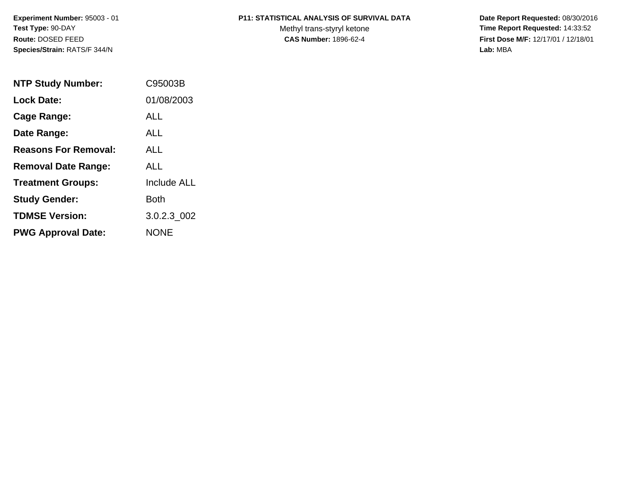### **P11: STATISTICAL ANALYSIS OF SURVIVAL DATA**

Methyl trans-styryl ketone<br>CAS Number: 1896-62-4

 **Date Report Requested:** 08/30/2016 **Time Report Requested:** 14:33:52 **First Dose M/F:** 12/17/01 / 12/18/01<br>Lab: MBA **Lab:** MBA

| <b>NTP Study Number:</b>    | C95003B            |
|-----------------------------|--------------------|
| <b>Lock Date:</b>           | 01/08/2003         |
| Cage Range:                 | AI L               |
| Date Range:                 | AI L               |
| <b>Reasons For Removal:</b> | AI I               |
| <b>Removal Date Range:</b>  | ALL                |
| <b>Treatment Groups:</b>    | <b>Include ALL</b> |
| <b>Study Gender:</b>        | Both               |
| <b>TDMSE Version:</b>       | 3.0.2.3 002        |
| <b>PWG Approval Date:</b>   | <b>NONE</b>        |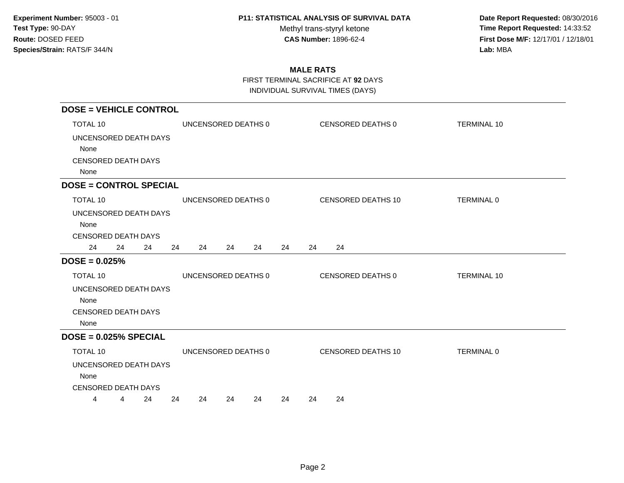Methyl trans-styryl ketone<br>CAS Number: 1896-62-4

 **Date Report Requested:** 08/30/2016 **Time Report Requested:** 14:33:52 **First Dose M/F:** 12/17/01 / 12/18/01<br>Lab: MBA **Lab:** MBA

## **MALE RATS**

FIRST TERMINAL SACRIFICE AT **92** DAYS

| <b>DOSE = VEHICLE CONTROL</b> |                      |                           |                    |  |  |
|-------------------------------|----------------------|---------------------------|--------------------|--|--|
| <b>TOTAL 10</b>               | UNCENSORED DEATHS 0  | CENSORED DEATHS 0         | <b>TERMINAL 10</b> |  |  |
| UNCENSORED DEATH DAYS         |                      |                           |                    |  |  |
| None                          |                      |                           |                    |  |  |
| <b>CENSORED DEATH DAYS</b>    |                      |                           |                    |  |  |
| None                          |                      |                           |                    |  |  |
| <b>DOSE = CONTROL SPECIAL</b> |                      |                           |                    |  |  |
| <b>TOTAL 10</b>               | UNCENSORED DEATHS 0  | CENSORED DEATHS 10        | TERMINAL 0         |  |  |
| UNCENSORED DEATH DAYS         |                      |                           |                    |  |  |
| None                          |                      |                           |                    |  |  |
| <b>CENSORED DEATH DAYS</b>    |                      |                           |                    |  |  |
| 24<br>24<br>24                | 24<br>24<br>24<br>24 | 24<br>24<br>24            |                    |  |  |
| $DOSE = 0.025%$               |                      |                           |                    |  |  |
| TOTAL 10                      | UNCENSORED DEATHS 0  | CENSORED DEATHS 0         | <b>TERMINAL 10</b> |  |  |
| UNCENSORED DEATH DAYS         |                      |                           |                    |  |  |
| None                          |                      |                           |                    |  |  |
| <b>CENSORED DEATH DAYS</b>    |                      |                           |                    |  |  |
| None                          |                      |                           |                    |  |  |
| $DOSE = 0.025%$ SPECIAL       |                      |                           |                    |  |  |
| <b>TOTAL 10</b>               | UNCENSORED DEATHS 0  | <b>CENSORED DEATHS 10</b> | TERMINAL 0         |  |  |
| UNCENSORED DEATH DAYS         |                      |                           |                    |  |  |
| None                          |                      |                           |                    |  |  |
| <b>CENSORED DEATH DAYS</b>    |                      |                           |                    |  |  |
| 24<br>4<br>4                  | 24<br>24<br>24<br>24 | 24<br>24<br>24            |                    |  |  |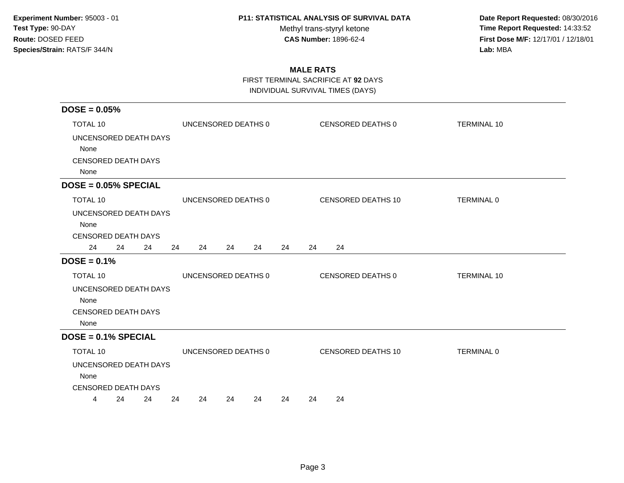Methyl trans-styryl ketone<br>CAS Number: 1896-62-4

 **Date Report Requested:** 08/30/2016 **Time Report Requested:** 14:33:52 **First Dose M/F:** 12/17/01 / 12/18/01<br>Lab: MBA **Lab:** MBA

## **MALE RATS**

FIRST TERMINAL SACRIFICE AT **92** DAYS

| $DOSE = 0.05%$                                                                |                      |                           |                    |  |  |
|-------------------------------------------------------------------------------|----------------------|---------------------------|--------------------|--|--|
| TOTAL 10                                                                      | UNCENSORED DEATHS 0  | CENSORED DEATHS 0         | <b>TERMINAL 10</b> |  |  |
| UNCENSORED DEATH DAYS<br>None<br><b>CENSORED DEATH DAYS</b><br>None           |                      |                           |                    |  |  |
| $DOSE = 0.05\% SPECIAL$                                                       |                      |                           |                    |  |  |
| TOTAL 10                                                                      | UNCENSORED DEATHS 0  | <b>CENSORED DEATHS 10</b> | TERMINAL 0         |  |  |
| UNCENSORED DEATH DAYS<br>None<br><b>CENSORED DEATH DAYS</b><br>24<br>24<br>24 | 24<br>24<br>24<br>24 | 24<br>24<br>24            |                    |  |  |
| $DOSE = 0.1%$                                                                 |                      |                           |                    |  |  |
| TOTAL 10                                                                      | UNCENSORED DEATHS 0  | CENSORED DEATHS 0         | <b>TERMINAL 10</b> |  |  |
| UNCENSORED DEATH DAYS<br>None<br><b>CENSORED DEATH DAYS</b><br>None           |                      |                           |                    |  |  |
| $DOSE = 0.1%$ SPECIAL                                                         |                      |                           |                    |  |  |
| TOTAL 10<br>UNCENSORED DEATH DAYS<br>None<br><b>CENSORED DEATH DAYS</b>       | UNCENSORED DEATHS 0  | <b>CENSORED DEATHS 10</b> | TERMINAL 0         |  |  |
| 24<br>24<br>4                                                                 | 24<br>24<br>24<br>24 | 24<br>24<br>24            |                    |  |  |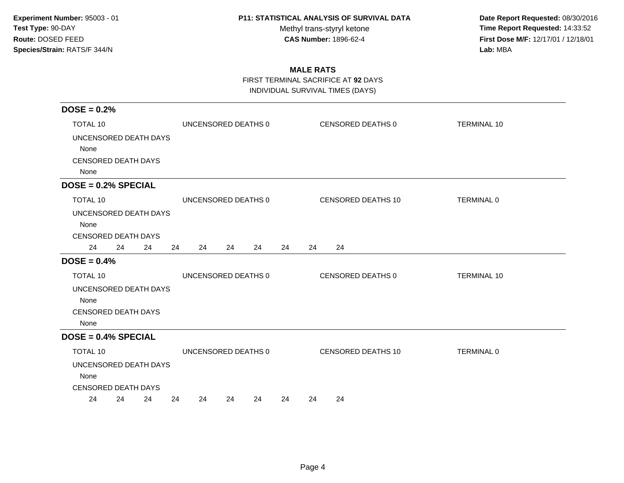Methyl trans-styryl ketone<br>CAS Number: 1896-62-4

 **Date Report Requested:** 08/30/2016 **Time Report Requested:** 14:33:52 **First Dose M/F:** 12/17/01 / 12/18/01<br>Lab: MBA **Lab:** MBA

## **MALE RATS**

FIRST TERMINAL SACRIFICE AT **92** DAYS

| $DOSE = 0.2%$                                                       |                      |                           |                    |  |  |
|---------------------------------------------------------------------|----------------------|---------------------------|--------------------|--|--|
| <b>TOTAL 10</b>                                                     | UNCENSORED DEATHS 0  | CENSORED DEATHS 0         | <b>TERMINAL 10</b> |  |  |
| UNCENSORED DEATH DAYS                                               |                      |                           |                    |  |  |
| None                                                                |                      |                           |                    |  |  |
| <b>CENSORED DEATH DAYS</b>                                          |                      |                           |                    |  |  |
| None                                                                |                      |                           |                    |  |  |
| $DOSE = 0.2%$ SPECIAL                                               |                      |                           |                    |  |  |
| <b>TOTAL 10</b>                                                     | UNCENSORED DEATHS 0  | <b>CENSORED DEATHS 10</b> | <b>TERMINAL 0</b>  |  |  |
| UNCENSORED DEATH DAYS<br>None<br><b>CENSORED DEATH DAYS</b>         |                      |                           |                    |  |  |
| 24<br>24<br>24                                                      | 24<br>24<br>24<br>24 | 24<br>24<br>24            |                    |  |  |
| $DOSE = 0.4%$                                                       |                      |                           |                    |  |  |
| <b>TOTAL 10</b>                                                     | UNCENSORED DEATHS 0  | CENSORED DEATHS 0         | <b>TERMINAL 10</b> |  |  |
| UNCENSORED DEATH DAYS<br>None<br><b>CENSORED DEATH DAYS</b><br>None |                      |                           |                    |  |  |
| $DOSE = 0.4%$ SPECIAL                                               |                      |                           |                    |  |  |
| <b>TOTAL 10</b>                                                     | UNCENSORED DEATHS 0  | <b>CENSORED DEATHS 10</b> | <b>TERMINAL 0</b>  |  |  |
| UNCENSORED DEATH DAYS<br>None<br><b>CENSORED DEATH DAYS</b>         |                      |                           |                    |  |  |
| 24<br>24<br>24                                                      | 24<br>24<br>24<br>24 | 24<br>24<br>24            |                    |  |  |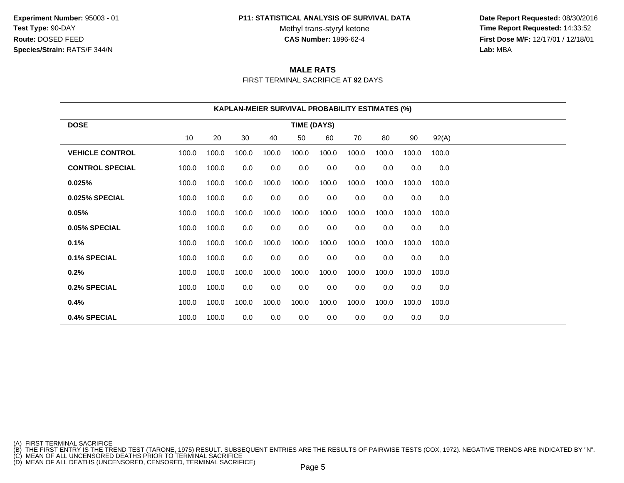#### **P11: STATISTICAL ANALYSIS OF SURVIVAL DATA**

Methyl trans-styryl ketone<br>CAS Number: 1896-62-4

 **Date Report Requested:** 08/30/2016 **Time Report Requested:** 14:33:52 **First Dose M/F:** 12/17/01 / 12/18/01<br>**Lab:** MBA **Lab:** MBA

# **MALE RATS**

FIRST TERMINAL SACRIFICE AT **92** DAYS

| <b>KAPLAN-MEIER SURVIVAL PROBABILITY ESTIMATES (%)</b> |                                                             |       |       |       |                    |       |       |       |       |       |  |  |
|--------------------------------------------------------|-------------------------------------------------------------|-------|-------|-------|--------------------|-------|-------|-------|-------|-------|--|--|
| <b>DOSE</b>                                            |                                                             |       |       |       | <b>TIME (DAYS)</b> |       |       |       |       |       |  |  |
|                                                        | 10<br>20<br>30<br>40<br>50<br>60<br>70<br>80<br>90<br>92(A) |       |       |       |                    |       |       |       |       |       |  |  |
| <b>VEHICLE CONTROL</b>                                 | 100.0                                                       | 100.0 | 100.0 | 100.0 | 100.0              | 100.0 | 100.0 | 100.0 | 100.0 | 100.0 |  |  |
| <b>CONTROL SPECIAL</b>                                 | 100.0                                                       | 100.0 | 0.0   | 0.0   | 0.0                | 0.0   | 0.0   | 0.0   | 0.0   | 0.0   |  |  |
| 0.025%                                                 | 100.0                                                       | 100.0 | 100.0 | 100.0 | 100.0              | 100.0 | 100.0 | 100.0 | 100.0 | 100.0 |  |  |
| 0.025% SPECIAL                                         | 100.0                                                       | 100.0 | 0.0   | 0.0   | 0.0                | 0.0   | 0.0   | 0.0   | 0.0   | 0.0   |  |  |
| 0.05%                                                  | 100.0                                                       | 100.0 | 100.0 | 100.0 | 100.0              | 100.0 | 100.0 | 100.0 | 100.0 | 100.0 |  |  |
| 0.05% SPECIAL                                          | 100.0                                                       | 100.0 | 0.0   | 0.0   | 0.0                | 0.0   | 0.0   | 0.0   | 0.0   | 0.0   |  |  |
| 0.1%                                                   | 100.0                                                       | 100.0 | 100.0 | 100.0 | 100.0              | 100.0 | 100.0 | 100.0 | 100.0 | 100.0 |  |  |
| 0.1% SPECIAL                                           | 100.0                                                       | 100.0 | 0.0   | 0.0   | 0.0                | 0.0   | 0.0   | 0.0   | 0.0   | 0.0   |  |  |
| 0.2%                                                   | 100.0                                                       | 100.0 | 100.0 | 100.0 | 100.0              | 100.0 | 100.0 | 100.0 | 100.0 | 100.0 |  |  |
| 0.2% SPECIAL                                           | 100.0                                                       | 100.0 | 0.0   | 0.0   | 0.0                | 0.0   | 0.0   | 0.0   | 0.0   | 0.0   |  |  |
| 0.4%                                                   | 100.0                                                       | 100.0 | 100.0 | 100.0 | 100.0              | 100.0 | 100.0 | 100.0 | 100.0 | 100.0 |  |  |
| 0.4% SPECIAL                                           | 100.0                                                       | 100.0 | 0.0   | 0.0   | 0.0                | 0.0   | 0.0   | 0.0   | 0.0   | 0.0   |  |  |

(A) FIRST TERMINAL SACRIFICE<br>(B) THE FIRST ENTRY IS THE TREND TEST (TARONE, 1975) RESULT. SUBSEQUENT ENTRIES ARE THE RESULTS OF PAIRWISE TESTS (COX, 1972). NEGATIVE TRENDS ARE INDICATED BY "N".<br>(C) MEAN OF ALL UNCENSORED D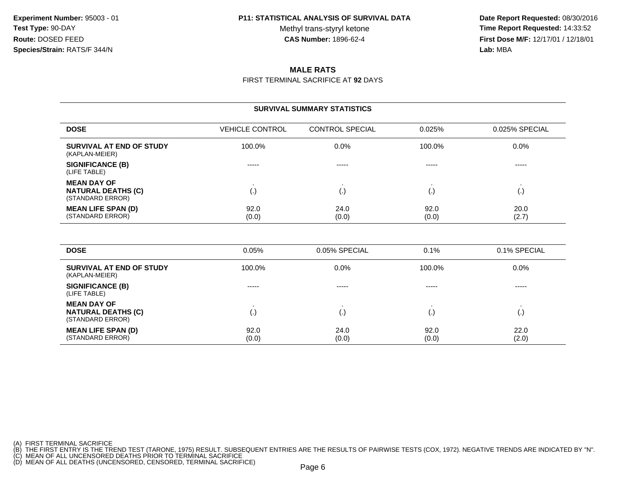Methyl trans-styryl ketone<br>CAS Number: 1896-62-4

 **Date Report Requested:** 08/30/2016 **Time Report Requested:** 14:33:52 **First Dose M/F:** 12/17/01 / 12/18/01<br>**Lab:** MBA **Lab:** MBA

### **MALE RATS**

FIRST TERMINAL SACRIFICE AT **92** DAYS

| <b>SURVIVAL SUMMARY STATISTICS</b>                                  |                        |                        |               |                |  |  |  |  |  |
|---------------------------------------------------------------------|------------------------|------------------------|---------------|----------------|--|--|--|--|--|
| <b>DOSE</b>                                                         | <b>VEHICLE CONTROL</b> | <b>CONTROL SPECIAL</b> | 0.025%        | 0.025% SPECIAL |  |  |  |  |  |
| SURVIVAL AT END OF STUDY<br>(KAPLAN-MEIER)                          | 100.0%                 | 0.0%                   | 100.0%        | $0.0\%$        |  |  |  |  |  |
| <b>SIGNIFICANCE (B)</b><br>(LIFE TABLE)                             | -----                  | -----                  | $- - - - -$   | -----          |  |  |  |  |  |
| <b>MEAN DAY OF</b><br><b>NATURAL DEATHS (C)</b><br>(STANDARD ERROR) | ٠<br>(.)               | ٠<br>(.)               | (.)           | ٠<br>(.)       |  |  |  |  |  |
| <b>MEAN LIFE SPAN (D)</b><br>(STANDARD ERROR)                       | 92.0<br>(0.0)          | 24.0<br>(0.0)          | 92.0<br>(0.0) | 20.0<br>(2.7)  |  |  |  |  |  |
| <b>DOSE</b>                                                         | 0.05%                  | 0.05% SPECIAL          | 0.1%          | 0.1% SPECIAL   |  |  |  |  |  |
| SURVIVAL AT END OF STUDY<br>(KAPLAN-MEIER)                          | 100.0%                 | 0.0%                   | 100.0%        | $0.0\%$        |  |  |  |  |  |
| <b>SIGNIFICANCE (B)</b><br>(110)                                    | -----                  | $- - - - -$            | -----         | $- - - - -$    |  |  |  |  |  |

0 24.0 92.0 22.0

(0.0)  $(0.0)$  (0.0)  $(2.0)$ 

(LIFE TABLE)

**MEAN DAY OF** . . . . **NATURAL DEATHS (C)** (.) (.) (.) (.) (STANDARD ERROR)**MEAN LIFE SPAN (D)**(STANDARD ERROR)

(A) FIRST TERMINAL SACRIFICE<br>(B) THE FIRST ENTRY IS THE TREND TEST (TARONE, 1975) RESULT. SUBSEQUENT ENTRIES ARE THE RESULTS OF PAIRWISE TESTS (COX, 1972). NEGATIVE TRENDS ARE INDICATED BY "N".<br>(C) MEAN OF ALL UNCENSORED D

92.0

(0.0)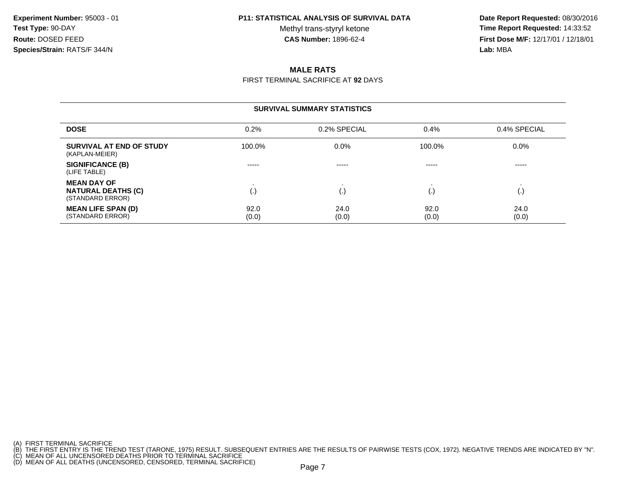#### **P11: STATISTICAL ANALYSIS OF SURVIVAL DATA**

Methyl trans-styryl ketone<br>CAS Number: 1896-62-4

 **Date Report Requested:** 08/30/2016 **Time Report Requested:** 14:33:52 **First Dose M/F:** 12/17/01 / 12/18/01<br>**Lab:** MBA **Lab:** MBA

### **MALE RATS**

FIRST TERMINAL SACRIFICE AT **92** DAYS

| <b>SURVIVAL SUMMARY STATISTICS</b>                                  |               |               |               |                      |  |  |  |  |
|---------------------------------------------------------------------|---------------|---------------|---------------|----------------------|--|--|--|--|
| <b>DOSE</b>                                                         | 0.2%          | 0.2% SPECIAL  | 0.4%          | 0.4% SPECIAL         |  |  |  |  |
| SURVIVAL AT END OF STUDY<br>(KAPLAN-MEIER)                          | 100.0%        | $0.0\%$       | 100.0%        | $0.0\%$              |  |  |  |  |
| <b>SIGNIFICANCE (B)</b><br>(LIFE TABLE)                             | -----         | -----         | -----         | -----                |  |  |  |  |
| <b>MEAN DAY OF</b><br><b>NATURAL DEATHS (C)</b><br>(STANDARD ERROR) | (.)           | (.,           | I.,           | $\left(\cdot\right)$ |  |  |  |  |
| <b>MEAN LIFE SPAN (D)</b><br>(STANDARD ERROR)                       | 92.0<br>(0.0) | 24.0<br>(0.0) | 92.0<br>(0.0) | 24.0<br>(0.0)        |  |  |  |  |

<sup>(</sup>A) FIRST TERMINAL SACRIFICE<br>(B) THE FIRST ENTRY IS THE TREND TEST (TARONE, 1975) RESULT. SUBSEQUENT ENTRIES ARE THE RESULTS OF PAIRWISE TESTS (COX, 1972). NEGATIVE TRENDS ARE INDICATED BY "N".<br>(C) MEAN OF ALL UNCENSORED D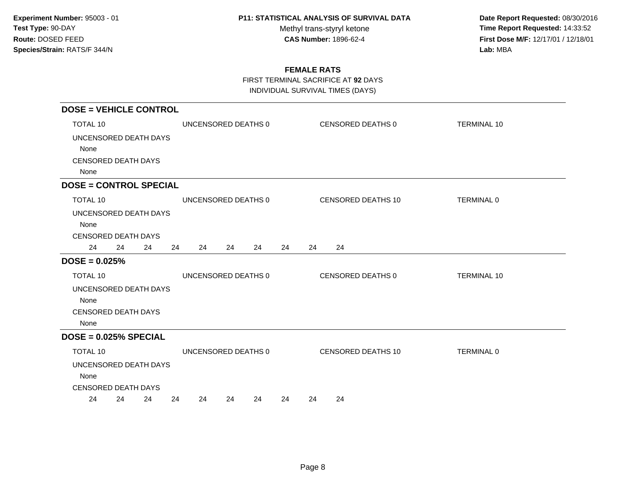Methyl trans-styryl ketone<br>CAS Number: 1896-62-4

 **Date Report Requested:** 08/30/2016 **Time Report Requested:** 14:33:52 **First Dose M/F:** 12/17/01 / 12/18/01<br>Lab: MBA **Lab:** MBA

## **FEMALE RATS**

FIRST TERMINAL SACRIFICE AT **92** DAYS

| <b>DOSE = VEHICLE CONTROL</b>                                           |    |    |    |                                          |    |    |    |    |    |                    |                    |  |  |
|-------------------------------------------------------------------------|----|----|----|------------------------------------------|----|----|----|----|----|--------------------|--------------------|--|--|
| TOTAL 10                                                                |    |    |    | UNCENSORED DEATHS 0<br>CENSORED DEATHS 0 |    |    |    |    |    |                    | <b>TERMINAL 10</b> |  |  |
| UNCENSORED DEATH DAYS                                                   |    |    |    |                                          |    |    |    |    |    |                    |                    |  |  |
| None                                                                    |    |    |    |                                          |    |    |    |    |    |                    |                    |  |  |
| <b>CENSORED DEATH DAYS</b>                                              |    |    |    |                                          |    |    |    |    |    |                    |                    |  |  |
| None                                                                    |    |    |    |                                          |    |    |    |    |    |                    |                    |  |  |
| <b>DOSE = CONTROL SPECIAL</b>                                           |    |    |    |                                          |    |    |    |    |    |                    |                    |  |  |
| TOTAL 10                                                                |    |    |    | UNCENSORED DEATHS 0                      |    |    |    |    |    | CENSORED DEATHS 10 | <b>TERMINAL 0</b>  |  |  |
| UNCENSORED DEATH DAYS<br>None                                           |    |    |    |                                          |    |    |    |    |    |                    |                    |  |  |
| <b>CENSORED DEATH DAYS</b><br>24                                        | 24 | 24 | 24 | 24                                       | 24 | 24 | 24 | 24 | 24 |                    |                    |  |  |
| $DOSE = 0.025%$                                                         |    |    |    |                                          |    |    |    |    |    |                    |                    |  |  |
| <b>TOTAL 10</b>                                                         |    |    |    | UNCENSORED DEATHS 0                      |    |    |    |    |    | CENSORED DEATHS 0  | <b>TERMINAL 10</b> |  |  |
| UNCENSORED DEATH DAYS<br>None<br><b>CENSORED DEATH DAYS</b><br>None     |    |    |    |                                          |    |    |    |    |    |                    |                    |  |  |
| $DOSE = 0.025%$ SPECIAL                                                 |    |    |    |                                          |    |    |    |    |    |                    |                    |  |  |
| TOTAL 10<br>UNCENSORED DEATH DAYS<br>None<br><b>CENSORED DEATH DAYS</b> |    |    |    | UNCENSORED DEATHS 0                      |    |    |    |    |    | CENSORED DEATHS 10 | <b>TERMINAL 0</b>  |  |  |
| 24                                                                      | 24 | 24 | 24 | 24                                       | 24 | 24 | 24 | 24 | 24 |                    |                    |  |  |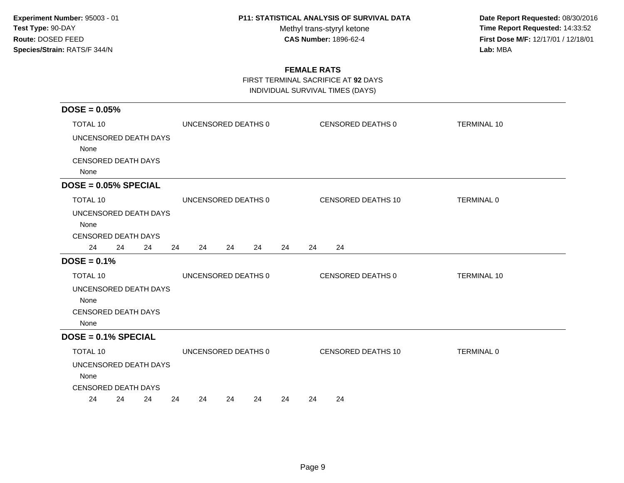Methyl trans-styryl ketone<br>CAS Number: 1896-62-4

 **Date Report Requested:** 08/30/2016 **Time Report Requested:** 14:33:52 **First Dose M/F:** 12/17/01 / 12/18/01<br>Lab: MBA **Lab:** MBA

## **FEMALE RATS**

FIRST TERMINAL SACRIFICE AT **92** DAYS

| $DOSE = 0.05%$                                                      |          |                                          |    |    |    |    |                          |  |                    |
|---------------------------------------------------------------------|----------|------------------------------------------|----|----|----|----|--------------------------|--|--------------------|
| <b>TOTAL 10</b>                                                     |          | CENSORED DEATHS 0<br>UNCENSORED DEATHS 0 |    |    |    |    |                          |  | <b>TERMINAL 10</b> |
| UNCENSORED DEATH DAYS                                               |          |                                          |    |    |    |    |                          |  |                    |
| None<br>CENSORED DEATH DAYS                                         |          |                                          |    |    |    |    |                          |  |                    |
| None                                                                |          |                                          |    |    |    |    |                          |  |                    |
| $DOSE = 0.05\% SPECIAL$                                             |          |                                          |    |    |    |    |                          |  |                    |
| TOTAL 10                                                            |          | UNCENSORED DEATHS 0                      |    |    |    |    | CENSORED DEATHS 10       |  | <b>TERMINAL 0</b>  |
| UNCENSORED DEATH DAYS<br>None<br><b>CENSORED DEATH DAYS</b>         |          |                                          |    |    |    |    |                          |  |                    |
| 24<br>24                                                            | 24<br>24 | 24                                       | 24 | 24 | 24 | 24 | 24                       |  |                    |
| $DOSE = 0.1%$                                                       |          |                                          |    |    |    |    |                          |  |                    |
| <b>TOTAL 10</b>                                                     |          | UNCENSORED DEATHS 0                      |    |    |    |    | <b>CENSORED DEATHS 0</b> |  | <b>TERMINAL 10</b> |
| UNCENSORED DEATH DAYS<br>None<br><b>CENSORED DEATH DAYS</b><br>None |          |                                          |    |    |    |    |                          |  |                    |
| $DOSE = 0.1%$ SPECIAL                                               |          |                                          |    |    |    |    |                          |  |                    |
| TOTAL 10                                                            |          | UNCENSORED DEATHS 0                      |    |    |    |    | CENSORED DEATHS 10       |  | <b>TERMINAL 0</b>  |
| UNCENSORED DEATH DAYS<br>None                                       |          |                                          |    |    |    |    |                          |  |                    |
| <b>CENSORED DEATH DAYS</b><br>24<br>24                              | 24<br>24 | 24                                       | 24 | 24 | 24 | 24 | 24                       |  |                    |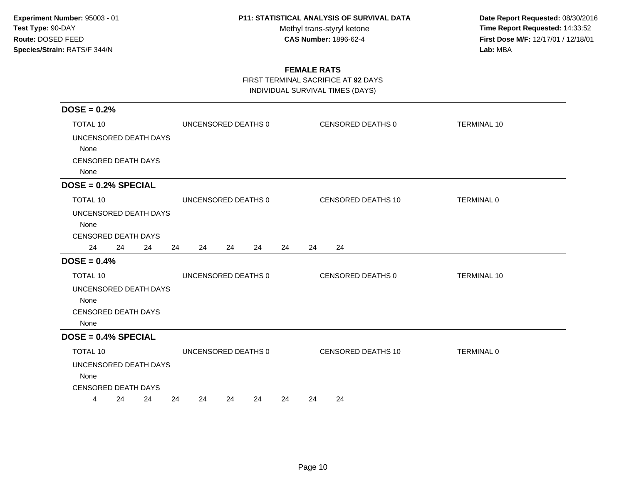Methyl trans-styryl ketone<br>CAS Number: 1896-62-4

 **Date Report Requested:** 08/30/2016 **Time Report Requested:** 14:33:52 **First Dose M/F:** 12/17/01 / 12/18/01<br>Lab: MBA **Lab:** MBA

## **FEMALE RATS**

FIRST TERMINAL SACRIFICE AT **92** DAYS

| $DOSE = 0.2%$                                                       |                     |                     |    |                           |                    |
|---------------------------------------------------------------------|---------------------|---------------------|----|---------------------------|--------------------|
| <b>TOTAL 10</b>                                                     |                     | UNCENSORED DEATHS 0 |    | <b>CENSORED DEATHS 0</b>  | <b>TERMINAL 10</b> |
| UNCENSORED DEATH DAYS                                               |                     |                     |    |                           |                    |
| None                                                                |                     |                     |    |                           |                    |
| <b>CENSORED DEATH DAYS</b><br>None                                  |                     |                     |    |                           |                    |
| $DOSE = 0.2%$ SPECIAL                                               |                     |                     |    |                           |                    |
| <b>TOTAL 10</b>                                                     |                     | UNCENSORED DEATHS 0 |    | <b>CENSORED DEATHS 10</b> | <b>TERMINAL 0</b>  |
| UNCENSORED DEATH DAYS<br>None<br><b>CENSORED DEATH DAYS</b>         |                     |                     |    |                           |                    |
| 24<br>24<br>24                                                      | 24<br>24            | 24<br>24            | 24 | 24<br>24                  |                    |
| $DOSE = 0.4%$                                                       |                     |                     |    |                           |                    |
| <b>TOTAL 10</b>                                                     | UNCENSORED DEATHS 0 |                     |    | <b>CENSORED DEATHS 0</b>  | <b>TERMINAL 10</b> |
| UNCENSORED DEATH DAYS<br>None<br><b>CENSORED DEATH DAYS</b><br>None |                     |                     |    |                           |                    |
| $DOSE = 0.4%$ SPECIAL                                               |                     |                     |    |                           |                    |
| <b>TOTAL 10</b>                                                     | UNCENSORED DEATHS 0 |                     |    | <b>CENSORED DEATHS 10</b> | TERMINAL 0         |
| UNCENSORED DEATH DAYS<br>None<br><b>CENSORED DEATH DAYS</b>         |                     |                     |    |                           |                    |
| 24<br>24<br>4                                                       | 24<br>24            | 24<br>24            | 24 | 24<br>24                  |                    |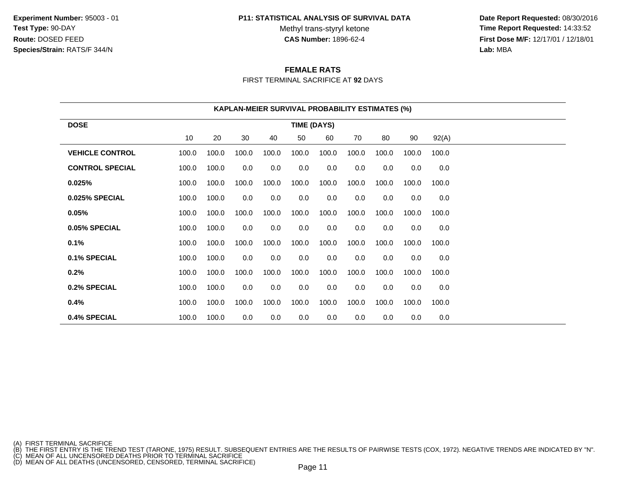#### **P11: STATISTICAL ANALYSIS OF SURVIVAL DATA**

Methyl trans-styryl ketone<br>CAS Number: 1896-62-4

 **Date Report Requested:** 08/30/2016 **Time Report Requested:** 14:33:52 **First Dose M/F:** 12/17/01 / 12/18/01<br>**Lab:** MBA **Lab:** MBA

### **FEMALE RATS**

FIRST TERMINAL SACRIFICE AT **92** DAYS

| <b>KAPLAN-MEIER SURVIVAL PROBABILITY ESTIMATES (%)</b> |                                                             |       |       |       |       |       |       |       |       |       |  |  |
|--------------------------------------------------------|-------------------------------------------------------------|-------|-------|-------|-------|-------|-------|-------|-------|-------|--|--|
| <b>DOSE</b>                                            | <b>TIME (DAYS)</b>                                          |       |       |       |       |       |       |       |       |       |  |  |
|                                                        | 10<br>20<br>30<br>50<br>60<br>70<br>80<br>90<br>92(A)<br>40 |       |       |       |       |       |       |       |       |       |  |  |
| <b>VEHICLE CONTROL</b>                                 | 100.0                                                       | 100.0 | 100.0 | 100.0 | 100.0 | 100.0 | 100.0 | 100.0 | 100.0 | 100.0 |  |  |
| <b>CONTROL SPECIAL</b>                                 | 100.0                                                       | 100.0 | 0.0   | 0.0   | 0.0   | 0.0   | 0.0   | 0.0   | 0.0   | 0.0   |  |  |
| 0.025%                                                 | 100.0                                                       | 100.0 | 100.0 | 100.0 | 100.0 | 100.0 | 100.0 | 100.0 | 100.0 | 100.0 |  |  |
| 0.025% SPECIAL                                         | 100.0                                                       | 100.0 | 0.0   | 0.0   | 0.0   | 0.0   | 0.0   | 0.0   | 0.0   | 0.0   |  |  |
| 0.05%                                                  | 100.0                                                       | 100.0 | 100.0 | 100.0 | 100.0 | 100.0 | 100.0 | 100.0 | 100.0 | 100.0 |  |  |
| 0.05% SPECIAL                                          | 100.0                                                       | 100.0 | 0.0   | 0.0   | 0.0   | 0.0   | 0.0   | 0.0   | 0.0   | 0.0   |  |  |
| 0.1%                                                   | 100.0                                                       | 100.0 | 100.0 | 100.0 | 100.0 | 100.0 | 100.0 | 100.0 | 100.0 | 100.0 |  |  |
| 0.1% SPECIAL                                           | 100.0                                                       | 100.0 | 0.0   | 0.0   | 0.0   | 0.0   | 0.0   | 0.0   | 0.0   | 0.0   |  |  |
| 0.2%                                                   | 100.0                                                       | 100.0 | 100.0 | 100.0 | 100.0 | 100.0 | 100.0 | 100.0 | 100.0 | 100.0 |  |  |
| 0.2% SPECIAL                                           | 100.0                                                       | 100.0 | 0.0   | 0.0   | 0.0   | 0.0   | 0.0   | 0.0   | 0.0   | 0.0   |  |  |
| 0.4%                                                   | 100.0                                                       | 100.0 | 100.0 | 100.0 | 100.0 | 100.0 | 100.0 | 100.0 | 100.0 | 100.0 |  |  |
| 0.4% SPECIAL                                           | 100.0                                                       | 100.0 | 0.0   | 0.0   | 0.0   | 0.0   | 0.0   | 0.0   | 0.0   | 0.0   |  |  |

(A) FIRST TERMINAL SACRIFICE<br>(B) THE FIRST ENTRY IS THE TREND TEST (TARONE, 1975) RESULT. SUBSEQUENT ENTRIES ARE THE RESULTS OF PAIRWISE TESTS (COX, 1972). NEGATIVE TRENDS ARE INDICATED BY "N".<br>(C) MEAN OF ALL UNCENSORED D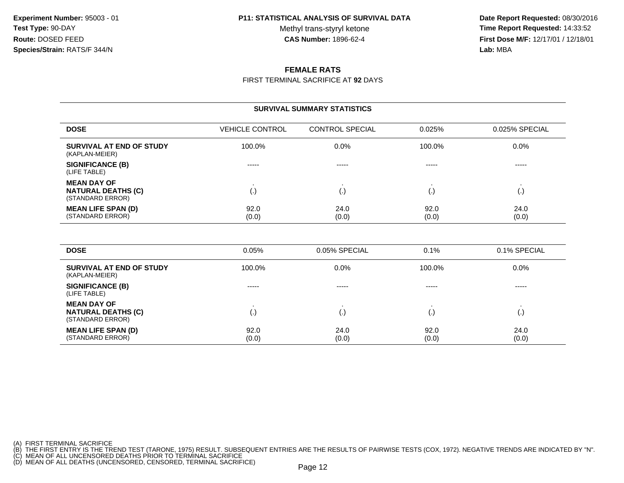Methyl trans-styryl ketone<br>CAS Number: 1896-62-4

 **Date Report Requested:** 08/30/2016 **Time Report Requested:** 14:33:52 **First Dose M/F:** 12/17/01 / 12/18/01<br>**Lab:** MBA **Lab:** MBA

### **FEMALE RATS**

FIRST TERMINAL SACRIFICE AT **92** DAYS

| <b>SURVIVAL SUMMARY STATISTICS</b>                                  |                        |                        |               |                                     |  |  |  |  |
|---------------------------------------------------------------------|------------------------|------------------------|---------------|-------------------------------------|--|--|--|--|
| <b>DOSE</b>                                                         | <b>VEHICLE CONTROL</b> | <b>CONTROL SPECIAL</b> | 0.025%        | 0.025% SPECIAL                      |  |  |  |  |
| <b>SURVIVAL AT END OF STUDY</b><br>(KAPLAN-MEIER)                   | 100.0%                 | 0.0%                   | 100.0%        | 0.0%                                |  |  |  |  |
| <b>SIGNIFICANCE (B)</b><br>(LIFE TABLE)                             | -----                  | -----                  | -----         | -----                               |  |  |  |  |
| <b>MEAN DAY OF</b><br><b>NATURAL DEATHS (C)</b><br>(STANDARD ERROR) | ٠.<br>(.)              | $\mathbf{r}$<br>(.)    | (.)           | $\bullet$<br>$\left( \cdot \right)$ |  |  |  |  |
| <b>MEAN LIFE SPAN (D)</b><br>(STANDARD ERROR)                       | 92.0<br>(0.0)          | 24.0<br>(0.0)          | 92.0<br>(0.0) | 24.0<br>(0.0)                       |  |  |  |  |
| <b>DOSE</b>                                                         | 0.05%                  | 0.05% SPECIAL          | 0.1%          | 0.1% SPECIAL                        |  |  |  |  |
| <b>SURVIVAL AT END OF STUDY</b><br>(KAPLAN-MEIER)                   | 100.0%                 | 0.0%                   | 100.0%        | 0.0%                                |  |  |  |  |
| SIGNIFICANCE (B)                                                    | -----                  | -----                  | $- - - - -$   | -----                               |  |  |  |  |

----- ----- ----- -----

(.) (.) (.) (.)

0 24.0 29.0 24.0 24.0

(0.0)  $(0.0)$  (0.0)  $(0.0)$  (0.0)

. . . .

92.0

(0.0)

(A) FIRST TERMINAL SACRIFICE

(LIFE TABLE)**MEAN DAY OF**

**NATURAL DEATHS (C)**

(STANDARD ERROR)**MEAN LIFE SPAN (D)**

(STANDARD ERROR)

(B) THE FIRST ENTRY IS THE TREND TEST (TARONE, 1975) RESULT. SUBSEQUENT ENTRIES ARE THE RESULTS OF PAIRWISE TESTS (COX, 1972). NEGATIVE TRENDS ARE INDICATED BY "N".<br>(C) MEAN OF ALL UNCENSORED DEATHS PRIOR TO TERMINAL SACRI